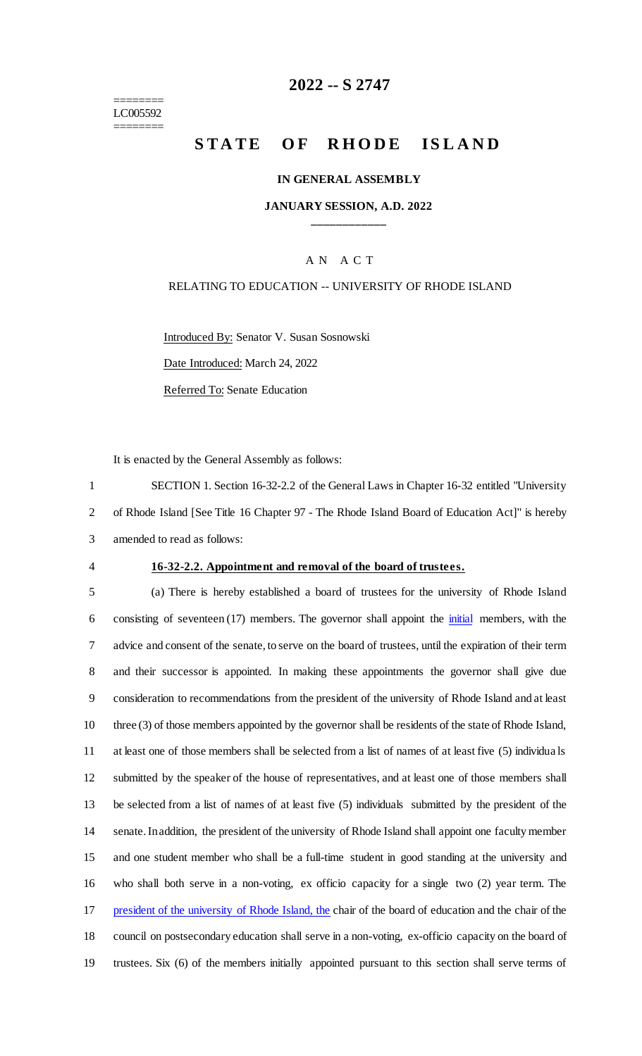======== LC005592 ========

# **2022 -- S 2747**

# **STATE OF RHODE ISLAND**

### **IN GENERAL ASSEMBLY**

### **JANUARY SESSION, A.D. 2022 \_\_\_\_\_\_\_\_\_\_\_\_**

# A N A C T

# RELATING TO EDUCATION -- UNIVERSITY OF RHODE ISLAND

Introduced By: Senator V. Susan Sosnowski Date Introduced: March 24, 2022

Referred To: Senate Education

It is enacted by the General Assembly as follows:

1 SECTION 1. Section 16-32-2.2 of the General Laws in Chapter 16-32 entitled "University 2 of Rhode Island [See Title 16 Chapter 97 - The Rhode Island Board of Education Act]" is hereby 3 amended to read as follows:

#### 4 **16-32-2.2. Appointment and removal of the board of trustees.**

 (a) There is hereby established a board of trustees for the university of Rhode Island 6 consisting of seventeen (17) members. The governor shall appoint the *initial* members, with the advice and consent of the senate, to serve on the board of trustees, until the expiration of their term and their successor is appointed. In making these appointments the governor shall give due consideration to recommendations from the president of the university of Rhode Island and at least three (3) of those members appointed by the governor shall be residents of the state of Rhode Island, at least one of those members shall be selected from a list of names of at least five (5) individua ls submitted by the speaker of the house of representatives, and at least one of those members shall be selected from a list of names of at least five (5) individuals submitted by the president of the senate. In addition, the president of the university of Rhode Island shall appoint one faculty member and one student member who shall be a full-time student in good standing at the university and who shall both serve in a non-voting, ex officio capacity for a single two (2) year term. The 17 president of the university of Rhode Island, the chair of the board of education and the chair of the council on postsecondary education shall serve in a non-voting, ex-officio capacity on the board of trustees. Six (6) of the members initially appointed pursuant to this section shall serve terms of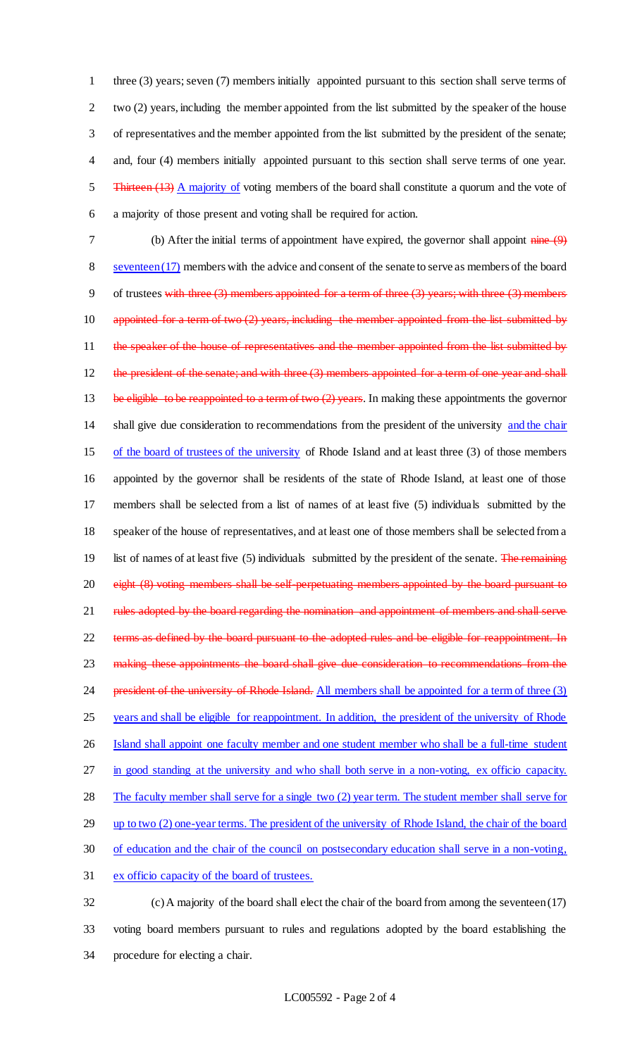three (3) years; seven (7) members initially appointed pursuant to this section shall serve terms of 2 two (2) years, including the member appointed from the list submitted by the speaker of the house of representatives and the member appointed from the list submitted by the president of the senate; and, four (4) members initially appointed pursuant to this section shall serve terms of one year. 5 Thirteen (13) A majority of voting members of the board shall constitute a quorum and the vote of a majority of those present and voting shall be required for action.

7 (b) After the initial terms of appointment have expired, the governor shall appoint nine (9) 8 seventeen (17) members with the advice and consent of the senate to serve as members of the board 9 of trustees with three  $(3)$  members appointed for a term of three  $(3)$  years; with three  $(3)$  members 10 appointed for a term of two (2) years, including the member appointed from the list submitted by 11 the speaker of the house of representatives and the member appointed from the list submitted by 12 the president of the senate; and with three (3) members appointed for a term of one year and shall 13 be eligible to be reappointed to a term of two (2) years. In making these appointments the governor 14 shall give due consideration to recommendations from the president of the university and the chair 15 of the board of trustees of the university of Rhode Island and at least three (3) of those members 16 appointed by the governor shall be residents of the state of Rhode Island, at least one of those 17 members shall be selected from a list of names of at least five (5) individuals submitted by the 18 speaker of the house of representatives, and at least one of those members shall be selected from a 19 list of names of at least five (5) individuals submitted by the president of the senate. The remaining 20 eight (8) voting members shall be self-perpetuating members appointed by the board pursuant to 21 rules adopted by the board regarding the nomination and appointment of members and shall serve 22 terms as defined by the board pursuant to the adopted rules and be eligible for reappointment. In 23 making these appointments the board shall give due consideration to recommendations from the 24 president of the university of Rhode Island. All members shall be appointed for a term of three (3) 25 years and shall be eligible for reappointment. In addition, the president of the university of Rhode 26 Island shall appoint one faculty member and one student member who shall be a full-time student 27 in good standing at the university and who shall both serve in a non-voting, ex officio capacity. 28 The faculty member shall serve for a single two (2) year term. The student member shall serve for 29 up to two (2) one-year terms. The president of the university of Rhode Island, the chair of the board 30 of education and the chair of the council on postsecondary education shall serve in a non-voting, 31 ex officio capacity of the board of trustees.

32 (c) A majority of the board shall elect the chair of the board from among the seventeen (17) 33 voting board members pursuant to rules and regulations adopted by the board establishing the 34 procedure for electing a chair.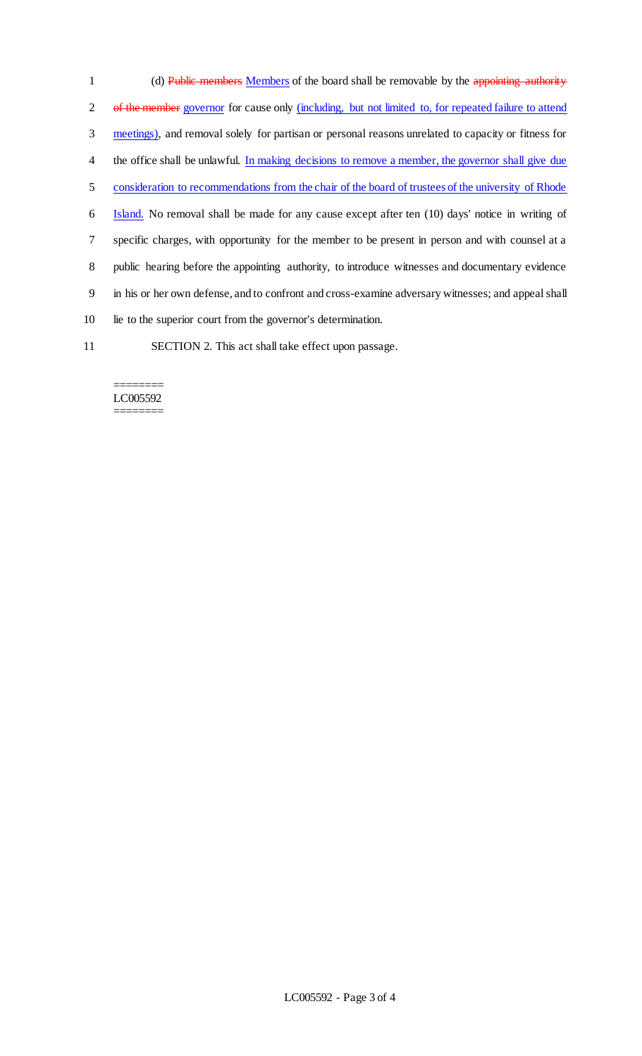1 (d) Public members Members of the board shall be removable by the appointing authority 2 of the member governor for cause only (including, but not limited to, for repeated failure to attend 3 meetings), and removal solely for partisan or personal reasons unrelated to capacity or fitness for 4 the office shall be unlawful. In making decisions to remove a member, the governor shall give due 5 consideration to recommendations from the chair of the board of trustees of the university of Rhode 6 Island. No removal shall be made for any cause except after ten (10) days' notice in writing of 7 specific charges, with opportunity for the member to be present in person and with counsel at a 8 public hearing before the appointing authority, to introduce witnesses and documentary evidence 9 in his or her own defense, and to confront and cross-examine adversary witnesses; and appeal shall 10 lie to the superior court from the governor's determination.

11 SECTION 2. This act shall take effect upon passage.

#### ======== LC005592 ========